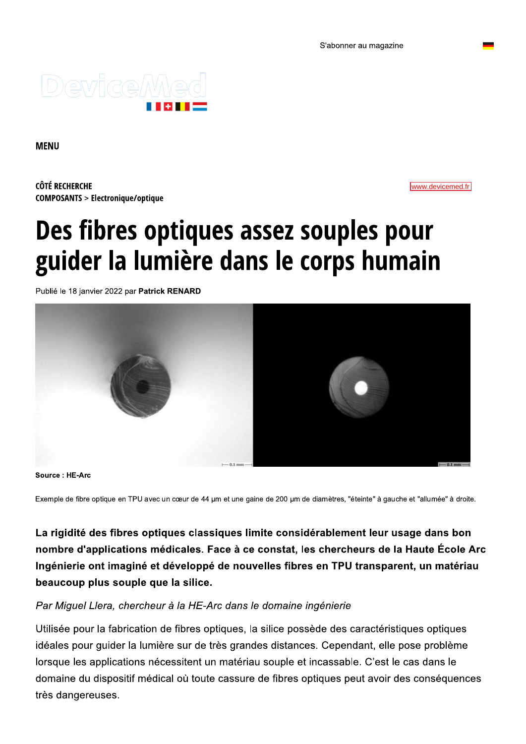# Des fibres optiques assez souples pour guider la lumière dans le corps humain

Publié le 18 janvier 2022 par Patrick RENARD



Source: HE-Arc

Exemple de fibre optique en TPU avec un cœur de 44 µm et une gaine de 200 µm de diamètres, "éteinte" à gauche et "allumée" à droite.

La rigidité des fibres optiques classiques limite considérablement leur usage dans bon nombre d'applications médicales. Face à ce constat, les chercheurs de la Haute École Arc Ingénierie ont imaginé et développé de nouvelles fibres en TPU transparent, un matériau beaucoup plus souple que la silice.

#### Par Miquel Llera, chercheur à la HE-Arc dans le domaine ingénierie

Utilisée pour la fabrication de fibres optiques, la silice possède des caractéristiques optiques idéales pour guider la lumière sur de très grandes distances. Cependant, elle pose problème lorsque les applications nécessitent un matériau souple et incassable. C'est le cas dans le domaine du dispositif médical où toute cassure de fibres optiques peut avoir des conséquences très dangereuses.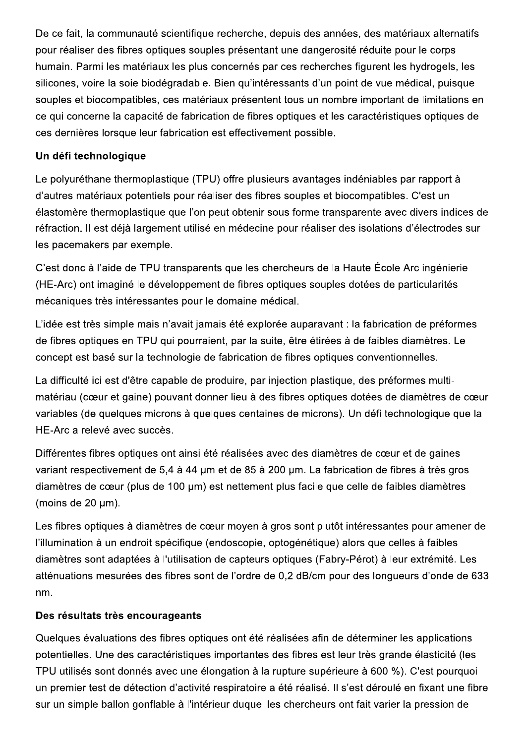De ce fait, la communauté scientifique recherche, depuis des années, des matériaux alternatifs pour réaliser des fibres optiques souples présentant une dangerosité réduite pour le corps humain. Parmi les matériaux les plus concernés par ces recherches figurent les hydrogels, les silicones, voire la soie biodégradable. Bien qu'intéressants d'un point de vue médical, puisque souples et biocompatibles, ces matériaux présentent tous un nombre important de limitations en ce qui concerne la capacité de fabrication de fibres optiques et les caractéristiques optiques de ces dernières lorsque leur fabrication est effectivement possible.

## Un défi technologique

Le polyuréthane thermoplastique (TPU) offre plusieurs avantages indéniables par rapport à d'autres matériaux potentiels pour réaliser des fibres souples et biocompatibles. C'est un élastomère thermoplastique que l'on peut obtenir sous forme transparente avec divers indices de réfraction. Il est déjà largement utilisé en médecine pour réaliser des isolations d'électrodes sur les pacemakers par exemple.

C'est donc à l'aide de TPU transparents que les chercheurs de la Haute École Arc ingénierie (HE-Arc) ont imaginé le développement de fibres optiques souples dotées de particularités mécaniques très intéressantes pour le domaine médical.

L'idée est très simple mais n'avait iamais été explorée auparavant : la fabrication de préformes de fibres optiques en TPU qui pourraient, par la suite, être étirées à de faibles diamètres. Le concept est basé sur la technologie de fabrication de fibres optiques conventionnelles.

La difficulté ici est d'être capable de produire, par injection plastique, des préformes multimatériau (cœur et gaine) pouvant donner lieu à des fibres optiques dotées de diamètres de cœur variables (de quelques microns à quelques centaines de microns). Un défi technologique que la HE-Arc a relevé avec succès.

Différentes fibres optiques ont ainsi été réalisées avec des diamètres de cœur et de gaines variant respectivement de 5.4 à 44 um et de 85 à 200 um. La fabrication de fibres à très gros diamètres de cœur (plus de 100 µm) est nettement plus facile que celle de faibles diamètres (moins de 20 um).

Les fibres optiques à diamètres de cœur moyen à gros sont plutôt intéressantes pour amener de l'illumination à un endroit spécifique (endoscopie, optogénétique) alors que celles à faibles diamètres sont adaptées à l'utilisation de capteurs optiques (Fabry-Pérot) à leur extrémité. Les atténuations mesurées des fibres sont de l'ordre de 0.2 dB/cm pour des longueurs d'onde de 633 nm.

## Des résultats très encourageants

Quelques évaluations des fibres optiques ont été réalisées afin de déterminer les applications potentielles. Une des caractéristiques importantes des fibres est leur très grande élasticité (les TPU utilisés sont donnés avec une élongation à la rupture supérieure à 600 %). C'est pourquoi un premier test de détection d'activité respiratoire a été réalisé. Il s'est déroulé en fixant une fibre sur un simple ballon gonflable à l'intérieur duquel les chercheurs ont fait varier la pression de